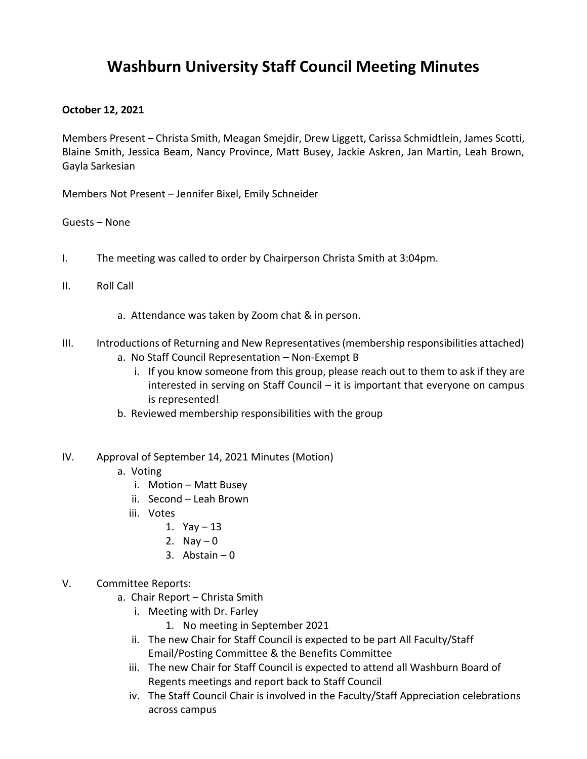### **Washburn University Staff Council Meeting Minutes**

#### **October 12, 2021**

Members Present – Christa Smith, Meagan Smejdir, Drew Liggett, Carissa Schmidtlein, James Scotti, Blaine Smith, Jessica Beam, Nancy Province, Matt Busey, Jackie Askren, Jan Martin, Leah Brown, Gayla Sarkesian

Members Not Present – Jennifer Bixel, Emily Schneider

Guests – None

- I. The meeting was called to order by Chairperson Christa Smith at 3:04pm.
- II. Roll Call
	- a. Attendance was taken by Zoom chat & in person.
- III. Introductions of Returning and New Representatives (membership responsibilities attached)
	- a. No Staff Council Representation Non-Exempt B
		- i. If you know someone from this group, please reach out to them to ask if they are interested in serving on Staff Council – it is important that everyone on campus is represented!
	- b. Reviewed membership responsibilities with the group
- IV. Approval of September 14, 2021 Minutes (Motion)
	- a. Voting
		- i. Motion Matt Busey
		- ii. Second Leah Brown
		- iii. Votes
			- 1.  $Yay 13$
			- 2. Nay  $-0$
			- 3. Abstain  $-0$
- V. Committee Reports:
	- a. Chair Report Christa Smith
		- i. Meeting with Dr. Farley
			- 1. No meeting in September 2021
		- ii. The new Chair for Staff Council is expected to be part All Faculty/Staff Email/Posting Committee & the Benefits Committee
		- iii. The new Chair for Staff Council is expected to attend all Washburn Board of Regents meetings and report back to Staff Council
		- iv. The Staff Council Chair is involved in the Faculty/Staff Appreciation celebrations across campus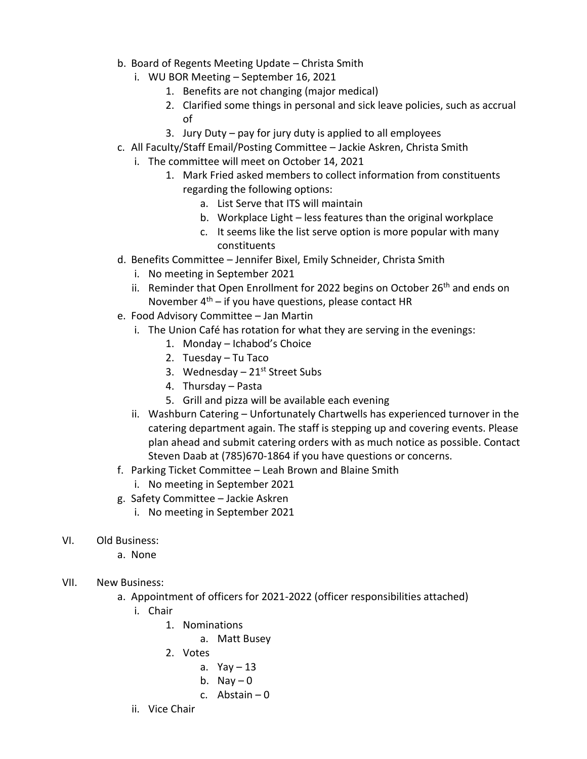- b. Board of Regents Meeting Update Christa Smith
	- i. WU BOR Meeting September 16, 2021
		- 1. Benefits are not changing (major medical)
		- 2. Clarified some things in personal and sick leave policies, such as accrual of
		- 3. Jury Duty pay for jury duty is applied to all employees
- c. All Faculty/Staff Email/Posting Committee Jackie Askren, Christa Smith
	- i. The committee will meet on October 14, 2021
		- 1. Mark Fried asked members to collect information from constituents regarding the following options:
			- a. List Serve that ITS will maintain
			- b. Workplace Light less features than the original workplace
			- c. It seems like the list serve option is more popular with many constituents
- d. Benefits Committee Jennifer Bixel, Emily Schneider, Christa Smith
	- i. No meeting in September 2021
	- ii. Reminder that Open Enrollment for 2022 begins on October 26<sup>th</sup> and ends on November  $4<sup>th</sup>$  – if you have questions, please contact HR
- e. Food Advisory Committee Jan Martin
	- i. The Union Café has rotation for what they are serving in the evenings:
		- 1. Monday Ichabod's Choice
		- 2. Tuesday Tu Taco
		- 3. Wednesday  $-21$ <sup>st</sup> Street Subs
		- 4. Thursday Pasta
		- 5. Grill and pizza will be available each evening
	- ii. Washburn Catering Unfortunately Chartwells has experienced turnover in the catering department again. The staff is stepping up and covering events. Please plan ahead and submit catering orders with as much notice as possible. Contact Steven Daab at (785)670-1864 if you have questions or concerns.
- f. Parking Ticket Committee Leah Brown and Blaine Smith
	- i. No meeting in September 2021
- g. Safety Committee Jackie Askren
	- i. No meeting in September 2021
- VI. Old Business:
	- a. None
- VII. New Business:
	- a. Appointment of officers for 2021-2022 (officer responsibilities attached)
		- i. Chair
			- 1. Nominations
				- a. Matt Busey
			- 2. Votes
				- a.  $Yay 13$
				- b. Nay  $-0$
				- c. Abstain  $-0$
		- ii. Vice Chair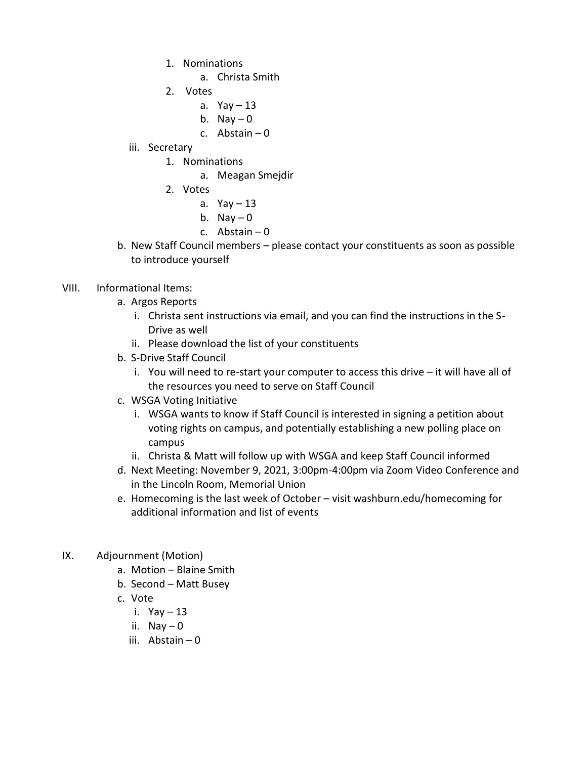- 1. Nominations
	- a. Christa Smith
- 2. Votes
	- a.  $Yay 13$
	- b. Nay  $-0$
	- c. Abstain  $-0$
- iii. Secretary
	- 1. Nominations
		- a. Meagan Smejdir
	- 2. Votes
		- a.  $Yay 13$
		- b. Nay  $-0$
		- c. Abstain 0
- b. New Staff Council members please contact your constituents as soon as possible to introduce yourself
- VIII. Informational Items:
	- a. Argos Reports
		- i. Christa sent instructions via email, and you can find the instructions in the S-Drive as well
		- ii. Please download the list of your constituents
	- b. S-Drive Staff Council
		- i. You will need to re-start your computer to access this drive it will have all of the resources you need to serve on Staff Council
	- c. WSGA Voting Initiative
		- i. WSGA wants to know if Staff Council is interested in signing a petition about voting rights on campus, and potentially establishing a new polling place on campus
		- ii. Christa & Matt will follow up with WSGA and keep Staff Council informed
	- d. Next Meeting: November 9, 2021, 3:00pm-4:00pm via Zoom Video Conference and in the Lincoln Room, Memorial Union
	- e. Homecoming is the last week of October visit washburn.edu/homecoming for additional information and list of events
- IX. Adjournment (Motion)
	- a. Motion Blaine Smith
	- b. Second Matt Busey
	- c. Vote
		- i.  $Yay 13$
		- ii.  $\text{Nay} \text{O}$
		- iii. Abstain 0